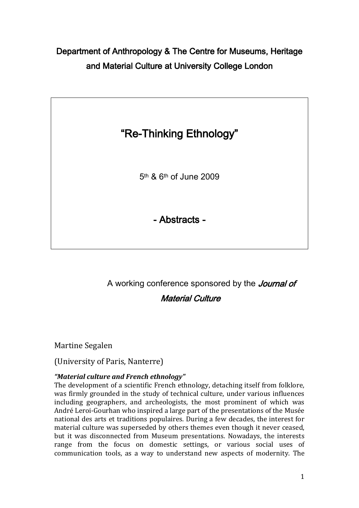# Department of Anthropology & The Centre for Museums, Heritage and Material Culture at University College London



5th & 6th of June 2009

- Abstracts -

A working conference sponsored by the *Journal of* Material Culture

Martine Segalen

(University of Paris, Nanterre)

## *"Material culture and French ethnology"*

The development of a scientific French ethnology, detaching itself from folklore, was firmly grounded in the study of technical culture, under various influences including geographers, and archeologists, the most prominent of which was André Leroi-Gourhan who inspired a large part of the presentations of the Musée national des arts et traditions populaires. During a few decades, the interest for material culture was superseded by others themes even though it never ceased, but it was disconnected from Museum presentations. Nowadays, the interests range from the focus on domestic settings, or various social uses of communication tools, as a way to understand new aspects of modernity. The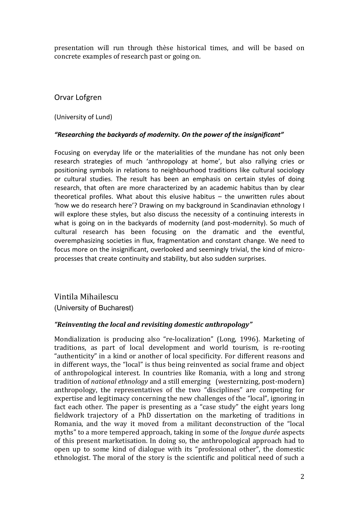presentation will run through thèse historical times, and will be based on concrete examples of research past or going on.

## Orvar Lofgren

(University of Lund)

#### *"Researching the backyards of modernity. On the power of the insignificant"*

Focusing on everyday life or the materialities of the mundane has not only been research strategies of much 'anthropology at home', but also rallying cries or positioning symbols in relations to neighbourhood traditions like cultural sociology or cultural studies. The result has been an emphasis on certain styles of doing research, that often are more characterized by an academic habitus than by clear theoretical profiles. What about this elusive habitus – the unwritten rules about 'how we do research here'? Drawing on my background in Scandinavian ethnology I will explore these styles, but also discuss the necessity of a continuing interests in what is going on in the backyards of modernity (and post-modernity). So much of cultural research has been focusing on the dramatic and the eventful, overemphasizing societies in flux, fragmentation and constant change. We need to focus more on the insignificant, overlooked and seemingly trivial, the kind of microprocesses that create continuity and stability, but also sudden surprises.

Vintila Mihailescu (University of Bucharest)

#### *"Reinventing the local and revisiting domestic anthropology"*

Mondialization is producing also "re-localization" (Long, 1996). Marketing of traditions, as part of local development and world tourism, is re-rooting "authenticity" in a kind or another of local specificity. For different reasons and in different ways, the "local" is thus being reinvented as social frame and object of anthropological interest. In countries like Romania, with a long and strong tradition of *national ethnology* and a still emerging (westernizing, post-modern) anthropology, the representatives of the two "disciplines" are competing for expertise and legitimacy concerning the new challenges of the "local", ignoring in fact each other. The paper is presenting as a "case study" the eight years long fieldwork trajectory of a PhD dissertation on the marketing of traditions in Romania, and the way it moved from a militant deconstruction of the "local myths" to a more tempered approach, taking in some of the *longue durée* aspects of this present marketisation. In doing so, the anthropological approach had to open up to some kind of dialogue with its "professional other", the domestic ethnologist. The moral of the story is the scientific and political need of such a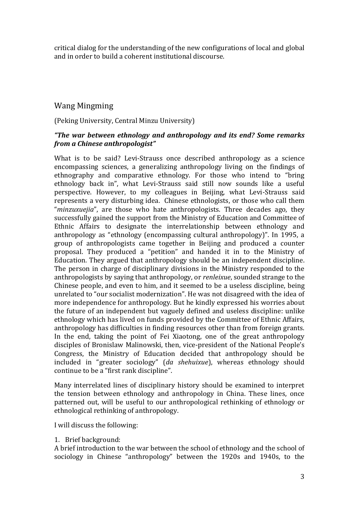critical dialog for the understanding of the new configurations of local and global and in order to build a coherent institutional discourse.

## Wang Mingming

(Peking University, Central Minzu University)

### *"The war between ethnology and anthropology and its end? Some remarks from a Chinese anthropologist"*

What is to be said? Levi-Strauss once described anthropology as a science encompassing sciences, a generalizing anthropology living on the findings of ethnography and comparative ethnology. For those who intend to "bring ethnology back in", what Levi-Strauss said still now sounds like a useful perspective. However, to my colleagues in Beijing, what Levi-Strauss said represents a very disturbing idea. Chinese ethnologists, or those who call them "*minzuxuejia*", are those who hate anthropologists. Three decades ago, they successfully gained the support from the Ministry of Education and Committee of Ethnic Affairs to designate the interrelationship between ethnology and anthropology as "ethnology (encompassing cultural anthropology)". In 1995, a group of anthropologists came together in Beijing and produced a counter proposal. They produced a "petition" and handed it in to the Ministry of Education. They argued that anthropology should be an independent discipline. The person in charge of disciplinary divisions in the Ministry responded to the anthropologists by saying that anthropology, or *renleixue*, sounded strange to the Chinese people, and even to him, and it seemed to be a useless discipline, being unrelated to "our socialist modernization". He was not disagreed with the idea of more independence for anthropology. But he kindly expressed his worries about the future of an independent but vaguely defined and useless discipline: unlike ethnology which has lived on funds provided by the Committee of Ethnic Affairs, anthropology has difficulties in finding resources other than from foreign grants. In the end, taking the point of Fei Xiaotong, one of the great anthropology disciples of Bronislaw Malinowski, then, vice-president of the National People's Congress, the Ministry of Education decided that anthropology should be included in "greater sociology" (*da shehuixue*), whereas ethnology should continue to be a "first rank discipline".

Many interrelated lines of disciplinary history should be examined to interpret the tension between ethnology and anthropology in China. These lines, once patterned out, will be useful to our anthropological rethinking of ethnology or ethnological rethinking of anthropology.

I will discuss the following:

1. Brief background:

A brief introduction to the war between the school of ethnology and the school of sociology in Chinese "anthropology" between the 1920s and 1940s, to the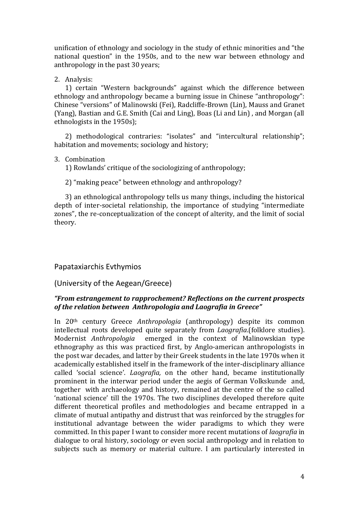unification of ethnology and sociology in the study of ethnic minorities and "the national question" in the 1950s, and to the new war between ethnology and anthropology in the past 30 years;

2. Analysis:

1) certain "Western backgrounds" against which the difference between ethnology and anthropology became a burning issue in Chinese "anthropology": Chinese "versions" of Malinowski (Fei), Radcliffe-Brown (Lin), Mauss and Granet (Yang), Bastian and G.E. Smith (Cai and Ling), Boas (Li and Lin) , and Morgan (all ethnologists in the 1950s);

2) methodological contraries: "isolates" and "intercultural relationship"; habitation and movements; sociology and history;

#### 3. Combination

1) Rowlands' critique of the sociologizing of anthropology;

2) "making peace" between ethnology and anthropology?

3) an ethnological anthropology tells us many things, including the historical depth of inter-societal relationship, the importance of studying "intermediate zones", the re-conceptualization of the concept of alterity, and the limit of social theory.

## Papataxiarchis Evthymios

(University of the Aegean/Greece)

#### *"From estrangement to rapprochement? Reflections on the current prospects of the relation between Anthropologia and Laografia in Greece"*

In 20th century Greece *Anthropologia* (anthropology) despite its common intellectual roots developed quite separately from *Laografia*.(folklore studies). Modernist *Anthropologia* emerged in the context of Malinowskian type ethnography as this was practiced first, by Anglo-american anthropologists in the post war decades, and latter by their Greek students in the late 1970s when it academically established itself in the framework of the inter-disciplinary alliance called 'social science'. *Laografia,* on the other hand, became institutionally prominent in the interwar period under the aegis of German Volkskunde and, together with archaeology and history, remained at the centre of the so called 'national science' till the 1970s. The two disciplines developed therefore quite different theoretical profiles and methodologies and became entrapped in a climate of mutual antipathy and distrust that was reinforced by the struggles for institutional advantage between the wider paradigms to which they were committed. In this paper I want to consider more recent mutations of *laografia* in dialogue to oral history, sociology or even social anthropology and in relation to subjects such as memory or material culture. I am particularly interested in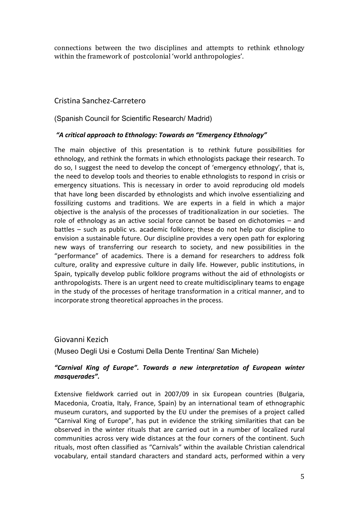connections between the two disciplines and attempts to rethink ethnology within the framework of postcolonial 'world anthropologies'.

## Cristina Sanchez-Carretero

(Spanish Council for Scientific Research/ Madrid)

#### *"A critical approach to Ethnology: Towards an "Emergency Ethnology"*

The main objective of this presentation is to rethink future possibilities for ethnology, and rethink the formats in which ethnologists package their research. To do so, I suggest the need to develop the concept of 'emergency ethnology', that is, the need to develop tools and theories to enable ethnologists to respond in crisis or emergency situations. This is necessary in order to avoid reproducing old models that have long been discarded by ethnologists and which involve essentializing and fossilizing customs and traditions. We are experts in a field in which a major objective is the analysis of the processes of traditionalization in our societies. The role of ethnology as an active social force cannot be based on dichotomies – and battles – such as public vs. academic folklore; these do not help our discipline to envision a sustainable future. Our discipline provides a very open path for exploring new ways of transferring our research to society, and new possibilities in the "performance" of academics. There is a demand for researchers to address folk culture, orality and expressive culture in daily life. However, public institutions, in Spain, typically develop public folklore programs without the aid of ethnologists or anthropologists. There is an urgent need to create multidisciplinary teams to engage in the study of the processes of heritage transformation in a critical manner, and to incorporate strong theoretical approaches in the process.

### Giovanni Kezich

(Museo Degli Usi e Costumi Della Dente Trentina/ San Michele)

#### *"Carnival King of Europe". Towards a new interpretation of European winter masquerades".*

Extensive fieldwork carried out in 2007/09 in six European countries (Bulgaria, Macedonia, Croatia, Italy, France, Spain) by an international team of ethnographic museum curators, and supported by the EU under the premises of a project called "Carnival King of Europe", has put in evidence the striking similarities that can be observed in the winter rituals that are carried out in a number of localized rural communities across very wide distances at the four corners of the continent. Such rituals, most often classified as "Carnivals" within the available Christian calendrical vocabulary, entail standard characters and standard acts, performed within a very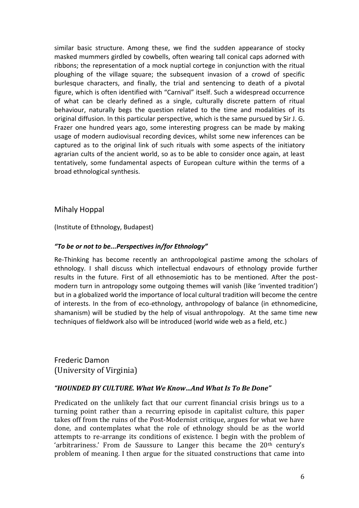similar basic structure. Among these, we find the sudden appearance of stocky masked mummers girdled by cowbells, often wearing tall conical caps adorned with ribbons; the representation of a mock nuptial cortege in conjunction with the ritual ploughing of the village square; the subsequent invasion of a crowd of specific burlesque characters, and finally, the trial and sentencing to death of a pivotal figure, which is often identified with "Carnival" itself. Such a widespread occurrence of what can be clearly defined as a single, culturally discrete pattern of ritual behaviour, naturally begs the question related to the time and modalities of its original diffusion. In this particular perspective, which is the same pursued by Sir J. G. Frazer one hundred years ago, some interesting progress can be made by making usage of modern audiovisual recording devices, whilst some new inferences can be captured as to the original link of such rituals with some aspects of the initiatory agrarian cults of the ancient world, so as to be able to consider once again, at least tentatively, some fundamental aspects of European culture within the terms of a broad ethnological synthesis.

### Mihaly Hoppal

(Institute of Ethnology, Budapest)

#### *"To be or not to be...Perspectives in/for Ethnology"*

Re-Thinking has become recently an anthropological pastime among the scholars of ethnology. I shall discuss which intellectual endavours of ethnology provide further results in the future. First of all ethnosemiotic has to be mentioned. After the postmodern turn in antropology some outgoing themes will vanish (like 'invented tradition') but in a globalized world the importance of local cultural tradition will become the centre of interests. In the from of eco-ethnology, anthropology of balance (in ethnomedicine, shamanism) will be studied by the help of visual anthropology. At the same time new techniques of fieldwork also will be introduced (world wide web as a field, etc.)

Frederic Damon (University of Virginia)

#### *"HOUNDED BY CULTURE. What We Know…And What Is To Be Done"*

Predicated on the unlikely fact that our current financial crisis brings us to a turning point rather than a recurring episode in capitalist culture, this paper takes off from the ruins of the Post-Modernist critique, argues for what we have done, and contemplates what the role of ethnology should be as the world attempts to re-arrange its conditions of existence. I begin with the problem of 'arbitrariness.' From de Saussure to Langer this became the  $20<sup>th</sup>$  century's problem of meaning. I then argue for the situated constructions that came into